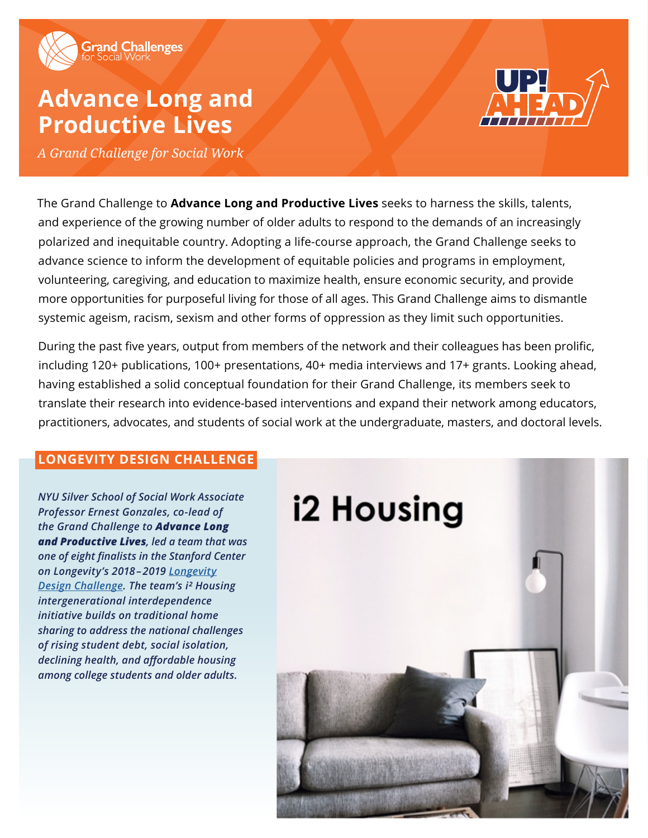

# **Advance Long and Productive Lives**



*A Grand Challenge for Social Work*

The Grand Challenge to **Advance Long and Productive Lives** seeks to harness the skills, talents, and experience of the growing number of older adults to respond to the demands of an increasingly polarized and inequitable country. Adopting a life-course approach, the Grand Challenge seeks to advance science to inform the development of equitable policies and programs in employment, volunteering, caregiving, and education to maximize health, ensure economic security, and provide more opportunities for purposeful living for those of all ages. This Grand Challenge aims to dismantle systemic ageism, racism, sexism and other forms of oppression as they limit such opportunities.

During the past five years, output from members of the network and their colleagues has been prolific, including 120+ publications, 100+ presentations, 40+ media interviews and 17+ grants. Looking ahead, having established a solid conceptual foundation for their Grand Challenge, its members seek to translate their research into evidence-based interventions and expand their network among educators, practitioners, advocates, and students of social work at the undergraduate, masters, and doctoral levels.

### **LONGEVITY DESIGN CHALLENGE**

*NYU Silver School of Social Work Associate Professor Ernest Gonzales, co-lead of the Grand Challenge to Advance Long and Productive Lives, led a team that was one of eight finalists in the Stanford Center on Longevity's 2018 – 2019 [Longevity](https://socialwork.nyu.edu/news/2019/nyu-silver-generationsunitedintergenerationalhousingprojectnamed.html) [Design Challenge](https://socialwork.nyu.edu/news/2019/nyu-silver-generationsunitedintergenerationalhousingprojectnamed.html). The team's i² Housing intergenerational interdependence initiative builds on traditional home sharing to address the national challenges of rising student debt, social isolation, declining health, and affordable housing among college students and older adults.*